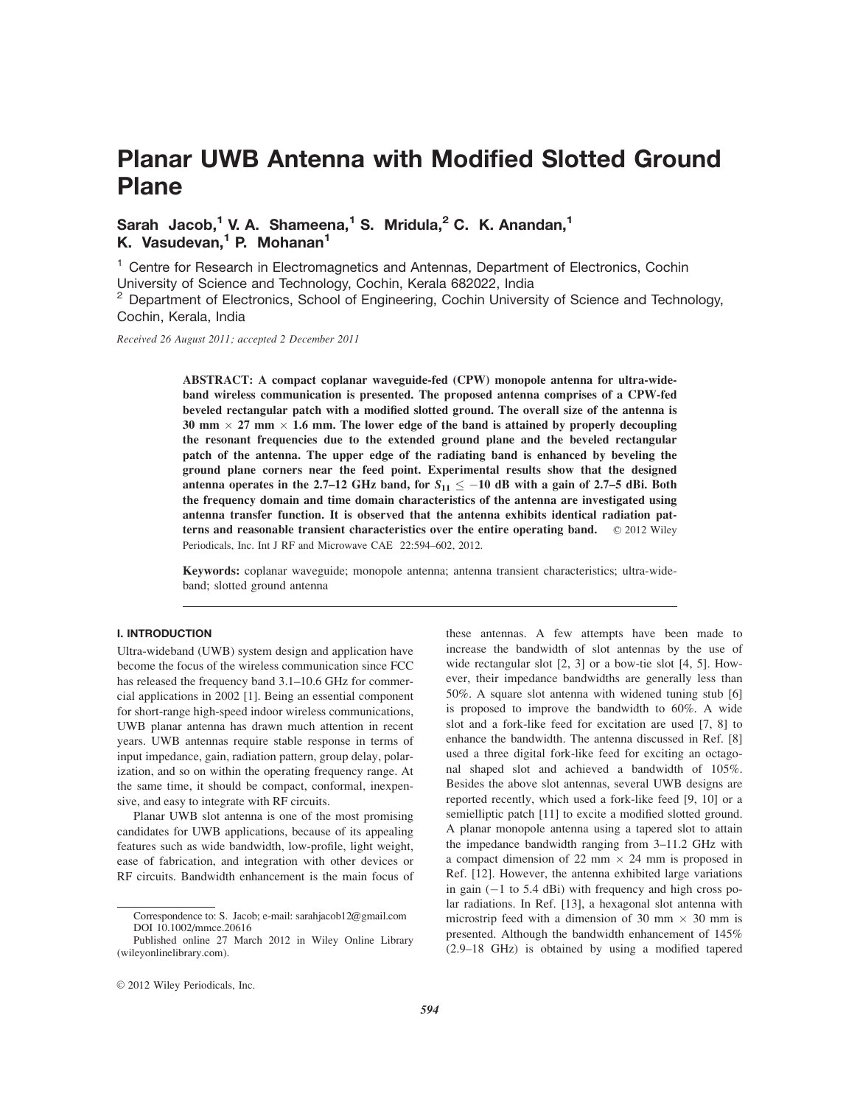# Planar UWB Antenna with Modified Slotted Ground Plane

# Sarah Jacob,<sup>1</sup> V. A. Shameena,<sup>1</sup> S. Mridula,<sup>2</sup> C. K. Anandan,<sup>1</sup> K. Vasudevan,<sup>1</sup> P. Mohanan<sup>1</sup>

<sup>1</sup> Centre for Research in Electromagnetics and Antennas, Department of Electronics, Cochin University of Science and Technology, Cochin, Kerala 682022, India

<sup>2</sup> Department of Electronics, School of Engineering, Cochin University of Science and Technology, Cochin, Kerala, India

Received 26 August 2011; accepted 2 December 2011

ABSTRACT: A compact coplanar waveguide-fed (CPW) monopole antenna for ultra-wideband wireless communication is presented. The proposed antenna comprises of a CPW-fed beveled rectangular patch with a modified slotted ground. The overall size of the antenna is 30 mm  $\times$  27 mm  $\times$  1.6 mm. The lower edge of the band is attained by properly decoupling the resonant frequencies due to the extended ground plane and the beveled rectangular patch of the antenna. The upper edge of the radiating band is enhanced by beveling the ground plane corners near the feed point. Experimental results show that the designed antenna operates in the 2.7–12 GHz band, for  $S_{11} \le -10$  dB with a gain of 2.7–5 dBi. Both the frequency domain and time domain characteristics of the antenna are investigated using antenna transfer function. It is observed that the antenna exhibits identical radiation patterns and reasonable transient characteristics over the entire operating band.  $\oslash$  2012 Wiley Periodicals, Inc. Int J RF and Microwave CAE 22:594–602, 2012.

Keywords: coplanar waveguide; monopole antenna; antenna transient characteristics; ultra-wideband; slotted ground antenna

# I. INTRODUCTION

Ultra-wideband (UWB) system design and application have become the focus of the wireless communication since FCC has released the frequency band 3.1–10.6 GHz for commercial applications in 2002 [1]. Being an essential component for short-range high-speed indoor wireless communications, UWB planar antenna has drawn much attention in recent years. UWB antennas require stable response in terms of input impedance, gain, radiation pattern, group delay, polarization, and so on within the operating frequency range. At the same time, it should be compact, conformal, inexpensive, and easy to integrate with RF circuits.

Planar UWB slot antenna is one of the most promising candidates for UWB applications, because of its appealing features such as wide bandwidth, low-profile, light weight, ease of fabrication, and integration with other devices or RF circuits. Bandwidth enhancement is the main focus of

these antennas. A few attempts have been made to increase the bandwidth of slot antennas by the use of wide rectangular slot [2, 3] or a bow-tie slot [4, 5]. However, their impedance bandwidths are generally less than 50%. A square slot antenna with widened tuning stub [6] is proposed to improve the bandwidth to 60%. A wide slot and a fork-like feed for excitation are used [7, 8] to enhance the bandwidth. The antenna discussed in Ref. [8] used a three digital fork-like feed for exciting an octagonal shaped slot and achieved a bandwidth of 105%. Besides the above slot antennas, several UWB designs are reported recently, which used a fork-like feed [9, 10] or a semielliptic patch [11] to excite a modified slotted ground. A planar monopole antenna using a tapered slot to attain the impedance bandwidth ranging from 3–11.2 GHz with a compact dimension of 22 mm  $\times$  24 mm is proposed in Ref. [12]. However, the antenna exhibited large variations in gain  $(-1)$  to 5.4 dBi) with frequency and high cross polar radiations. In Ref. [13], a hexagonal slot antenna with microstrip feed with a dimension of 30 mm  $\times$  30 mm is presented. Although the bandwidth enhancement of 145% (2.9–18 GHz) is obtained by using a modified tapered

Correspondence to: S. Jacob; e-mail: sarahjacob12@gmail.com DOI 10.1002/mmce.20616

Published online 27 March 2012 in Wiley Online Library (wileyonlinelibrary.com).

 $©$  2012 Wiley Periodicals, Inc.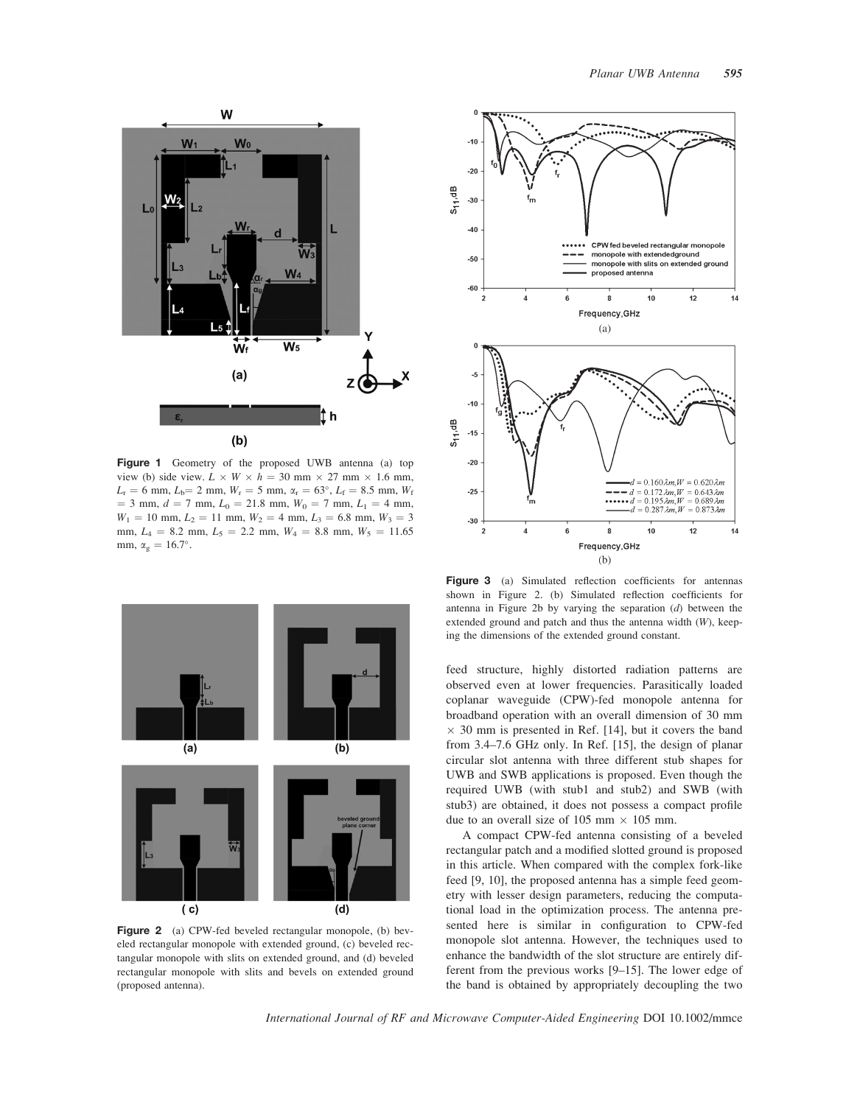

Figure 1 Geometry of the proposed UWB antenna (a) top view (b) side view.  $L \times W \times h = 30$  mm  $\times$  27 mm  $\times$  1.6 mm,  $L_r = 6$  mm,  $L_b = 2$  mm,  $W_r = 5$  mm,  $\alpha_r = 63^\circ$ ,  $L_f = 8.5$  mm,  $W_f$  $=$  3 mm,  $d = 7$  mm,  $L_0 = 21.8$  mm,  $W_0 = 7$  mm,  $L_1 = 4$  mm,  $W_1 = 10$  mm,  $L_2 = 11$  mm,  $W_2 = 4$  mm,  $L_3 = 6.8$  mm,  $W_3 = 3$ mm,  $L_4 = 8.2$  mm,  $L_5 = 2.2$  mm,  $W_4 = 8.8$  mm,  $W_5 = 11.65$ mm,  $\alpha_{\rm g} = 16.7^{\circ}$ .



Figure 2 (a) CPW-fed beveled rectangular monopole, (b) beveled rectangular monopole with extended ground, (c) beveled rectangular monopole with slits on extended ground, and (d) beveled rectangular monopole with slits and bevels on extended ground (proposed antenna).



Figure 3 (a) Simulated reflection coefficients for antennas shown in Figure 2. (b) Simulated reflection coefficients for antenna in Figure 2b by varying the separation  $(d)$  between the extended ground and patch and thus the antenna width (W), keeping the dimensions of the extended ground constant.

feed structure, highly distorted radiation patterns are observed even at lower frequencies. Parasitically loaded coplanar waveguide (CPW)-fed monopole antenna for broadband operation with an overall dimension of 30 mm  $\times$  30 mm is presented in Ref. [14], but it covers the band from 3.4–7.6 GHz only. In Ref. [15], the design of planar circular slot antenna with three different stub shapes for UWB and SWB applications is proposed. Even though the required UWB (with stub1 and stub2) and SWB (with stub3) are obtained, it does not possess a compact profile due to an overall size of 105 mm  $\times$  105 mm.

A compact CPW-fed antenna consisting of a beveled rectangular patch and a modified slotted ground is proposed in this article. When compared with the complex fork-like feed [9, 10], the proposed antenna has a simple feed geometry with lesser design parameters, reducing the computational load in the optimization process. The antenna presented here is similar in configuration to CPW-fed monopole slot antenna. However, the techniques used to enhance the bandwidth of the slot structure are entirely different from the previous works [9–15]. The lower edge of the band is obtained by appropriately decoupling the two

International Journal of RF and Microwave Computer-Aided Engineering DOI 10.1002/mmce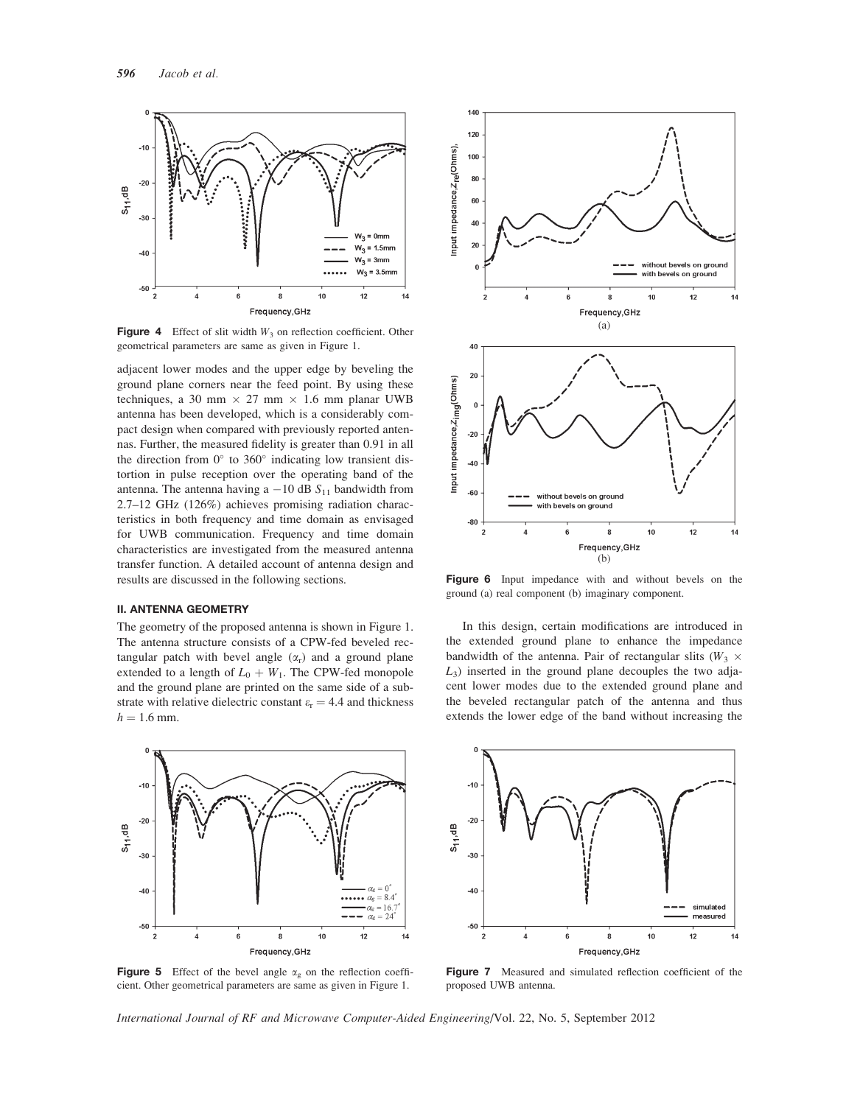

**Figure 4** Effect of slit width  $W_3$  on reflection coefficient. Other geometrical parameters are same as given in Figure 1.

adjacent lower modes and the upper edge by beveling the ground plane corners near the feed point. By using these techniques, a 30 mm  $\times$  27 mm  $\times$  1.6 mm planar UWB antenna has been developed, which is a considerably compact design when compared with previously reported antennas. Further, the measured fidelity is greater than 0.91 in all the direction from  $0^{\circ}$  to 360° indicating low transient distortion in pulse reception over the operating band of the antenna. The antenna having a  $-10$  dB  $S_{11}$  bandwidth from 2.7–12 GHz (126%) achieves promising radiation characteristics in both frequency and time domain as envisaged for UWB communication. Frequency and time domain characteristics are investigated from the measured antenna transfer function. A detailed account of antenna design and results are discussed in the following sections.

#### II. ANTENNA GEOMETRY

The geometry of the proposed antenna is shown in Figure 1. The antenna structure consists of a CPW-fed beveled rectangular patch with bevel angle  $(\alpha_r)$  and a ground plane extended to a length of  $L_0 + W_1$ . The CPW-fed monopole and the ground plane are printed on the same side of a substrate with relative dielectric constant  $\varepsilon_r = 4.4$  and thickness  $h = 1.6$  mm.



**Figure 5** Effect of the bevel angle  $\alpha_{\rm e}$  on the reflection coefficient. Other geometrical parameters are same as given in Figure 1.



Figure 6 Input impedance with and without bevels on the ground (a) real component (b) imaginary component.

In this design, certain modifications are introduced in the extended ground plane to enhance the impedance bandwidth of the antenna. Pair of rectangular slits ( $W_3 \times$  $L_3$ ) inserted in the ground plane decouples the two adjacent lower modes due to the extended ground plane and the beveled rectangular patch of the antenna and thus extends the lower edge of the band without increasing the



Figure 7 Measured and simulated reflection coefficient of the proposed UWB antenna.

International Journal of RF and Microwave Computer-Aided Engineering/Vol. 22, No. 5, September 2012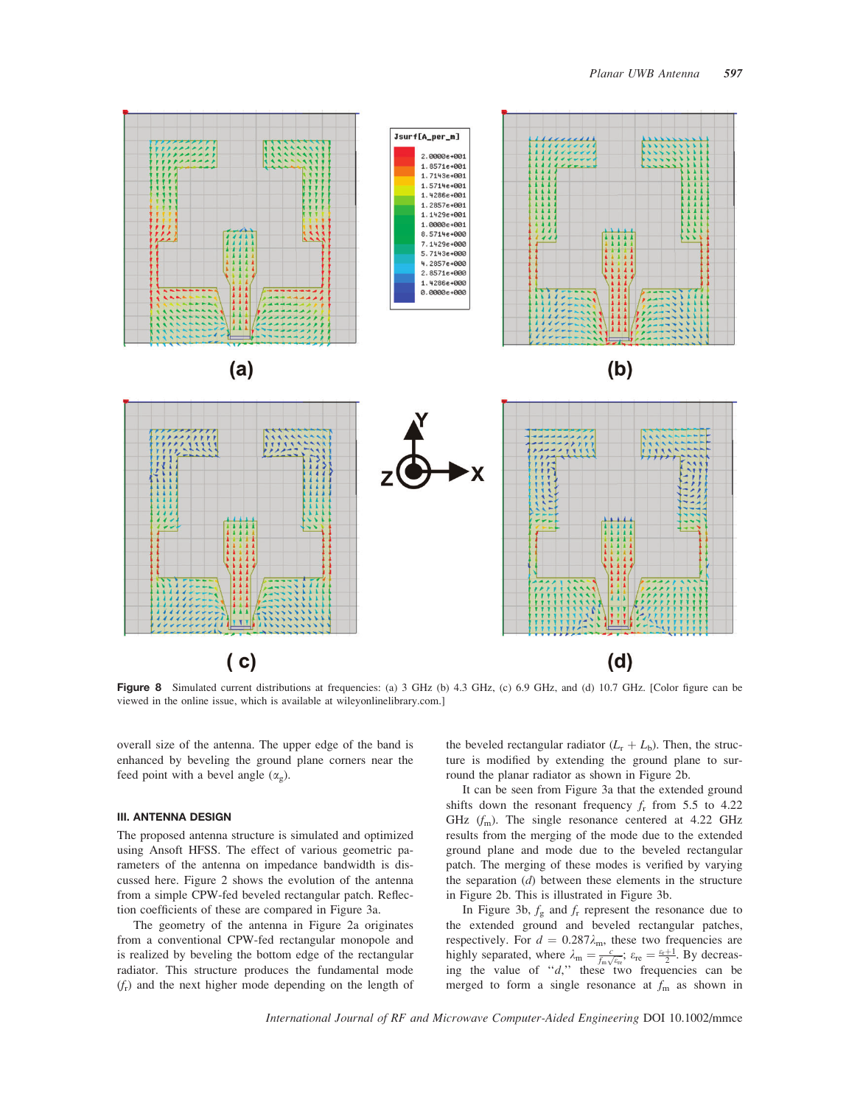

Figure 8 Simulated current distributions at frequencies: (a) 3 GHz (b) 4.3 GHz, (c) 6.9 GHz, and (d) 10.7 GHz. [Color figure can be viewed in the online issue, which is available at wileyonlinelibrary.com.]

overall size of the antenna. The upper edge of the band is enhanced by beveling the ground plane corners near the feed point with a bevel angle  $(\alpha_{\varphi})$ .

# III. ANTENNA DESIGN

The proposed antenna structure is simulated and optimized using Ansoft HFSS. The effect of various geometric parameters of the antenna on impedance bandwidth is discussed here. Figure 2 shows the evolution of the antenna from a simple CPW-fed beveled rectangular patch. Reflection coefficients of these are compared in Figure 3a.

The geometry of the antenna in Figure 2a originates from a conventional CPW-fed rectangular monopole and is realized by beveling the bottom edge of the rectangular radiator. This structure produces the fundamental mode  $(f<sub>r</sub>)$  and the next higher mode depending on the length of the beveled rectangular radiator  $(L_r + L_b)$ . Then, the structure is modified by extending the ground plane to surround the planar radiator as shown in Figure 2b.

It can be seen from Figure 3a that the extended ground shifts down the resonant frequency  $f_r$  from 5.5 to 4.22 GHz  $(f_m)$ . The single resonance centered at 4.22 GHz results from the merging of the mode due to the extended ground plane and mode due to the beveled rectangular patch. The merging of these modes is verified by varying the separation  $(d)$  between these elements in the structure in Figure 2b. This is illustrated in Figure 3b.

In Figure 3b,  $f_g$  and  $f_r$  represent the resonance due to the extended ground and beveled rectangular patches, respectively. For  $d = 0.287\lambda_m$ , these two frequencies are highly separated, where  $\lambda_m = \frac{c}{f_m \sqrt{\varepsilon_m}}$ ;  $\varepsilon_{\text{re}} = \frac{\varepsilon_{\text{r}} + 1}{2}$ . By decreasing the value of " $d$ ," these two frequencies can be merged to form a single resonance at  $f<sub>m</sub>$  as shown in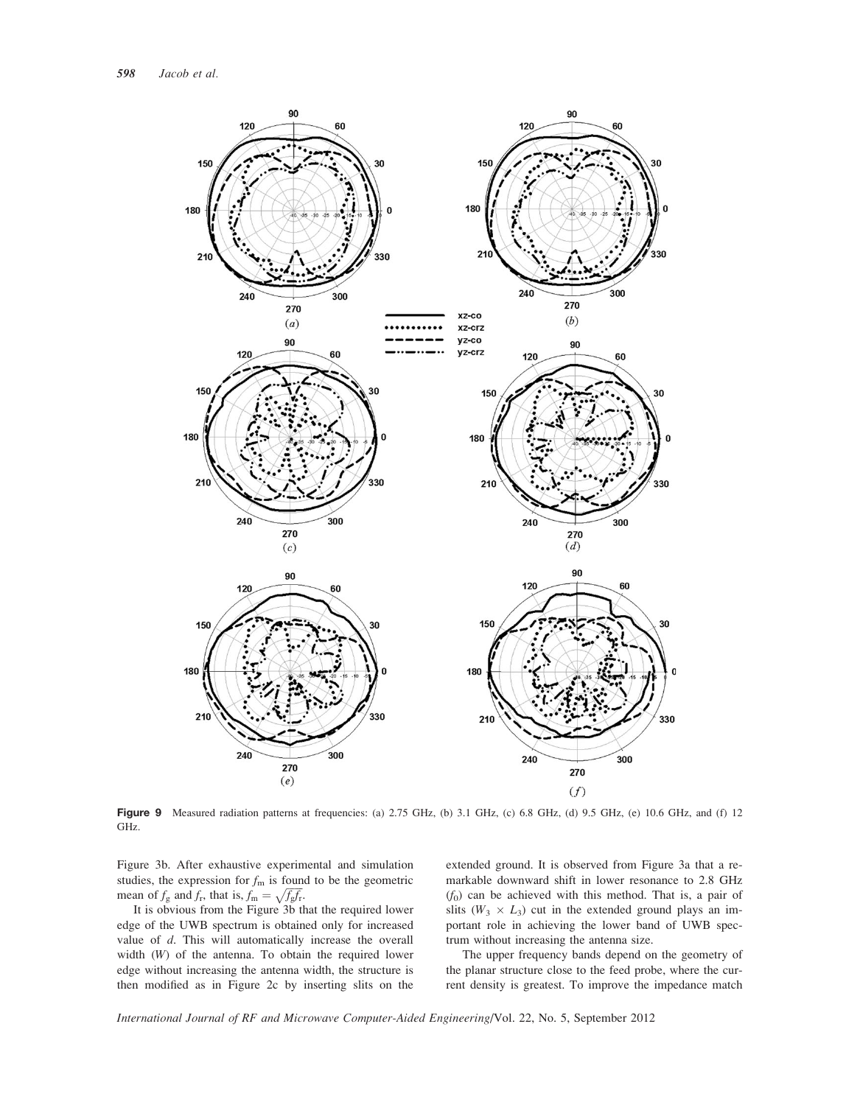

Figure 9 Measured radiation patterns at frequencies: (a) 2.75 GHz, (b) 3.1 GHz, (c) 6.8 GHz, (d) 9.5 GHz, (e) 10.6 GHz, and (f) 12 GHz.

Figure 3b. After exhaustive experimental and simulation studies, the expression for  $f<sub>m</sub>$  is found to be the geometric mean of  $f_g$  and  $f_r$ , that is,  $f_m = \sqrt{f_g f_r}$ .

It is obvious from the Figure 3b that the required lower edge of the UWB spectrum is obtained only for increased value of d. This will automatically increase the overall width (W) of the antenna. To obtain the required lower edge without increasing the antenna width, the structure is then modified as in Figure 2c by inserting slits on the extended ground. It is observed from Figure 3a that a remarkable downward shift in lower resonance to 2.8 GHz  $(f<sub>0</sub>)$  can be achieved with this method. That is, a pair of slits  $(W_3 \times L_3)$  cut in the extended ground plays an important role in achieving the lower band of UWB spectrum without increasing the antenna size.

The upper frequency bands depend on the geometry of the planar structure close to the feed probe, where the current density is greatest. To improve the impedance match

International Journal of RF and Microwave Computer-Aided Engineering/Vol. 22, No. 5, September 2012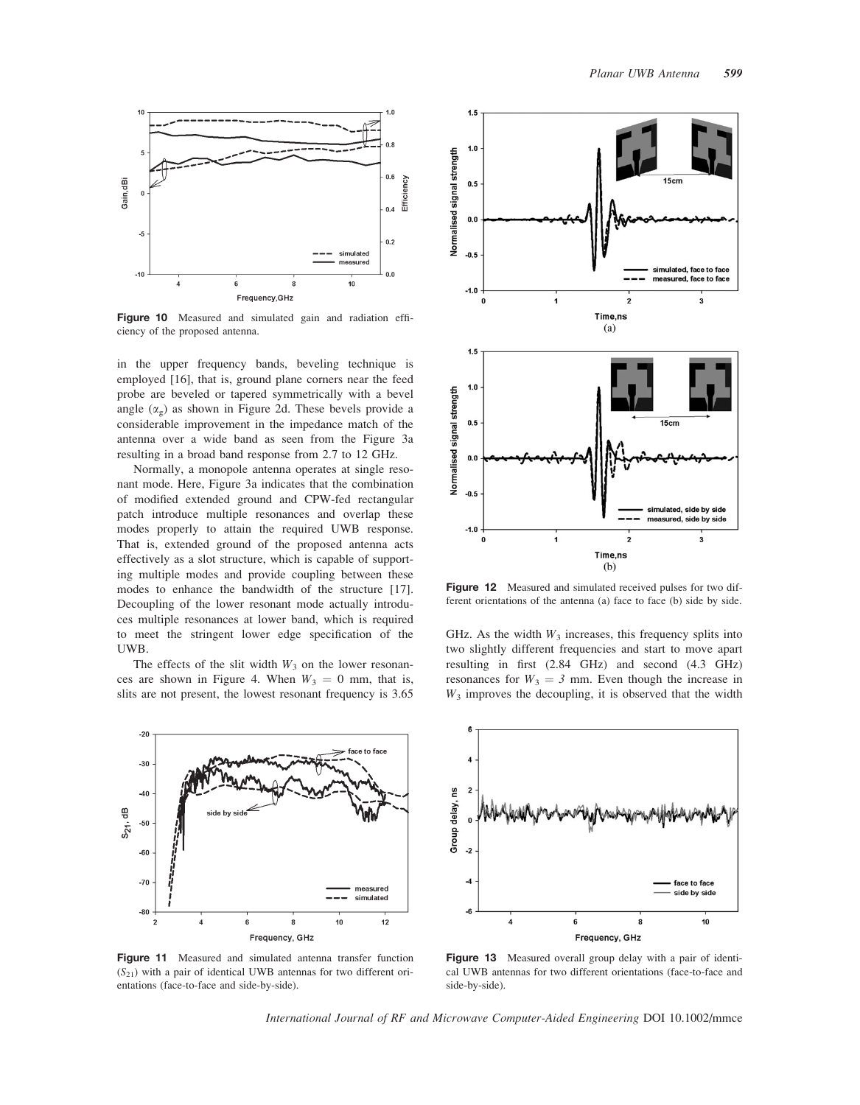

Figure 10 Measured and simulated gain and radiation efficiency of the proposed antenna.

in the upper frequency bands, beveling technique is employed [16], that is, ground plane corners near the feed probe are beveled or tapered symmetrically with a bevel angle  $(\alpha_{\sigma})$  as shown in Figure 2d. These bevels provide a considerable improvement in the impedance match of the antenna over a wide band as seen from the Figure 3a resulting in a broad band response from 2.7 to 12 GHz.

Normally, a monopole antenna operates at single resonant mode. Here, Figure 3a indicates that the combination of modified extended ground and CPW-fed rectangular patch introduce multiple resonances and overlap these modes properly to attain the required UWB response. That is, extended ground of the proposed antenna acts effectively as a slot structure, which is capable of supporting multiple modes and provide coupling between these modes to enhance the bandwidth of the structure [17]. Decoupling of the lower resonant mode actually introduces multiple resonances at lower band, which is required to meet the stringent lower edge specification of the UWB.

The effects of the slit width  $W_3$  on the lower resonances are shown in Figure 4. When  $W_3 = 0$  mm, that is, slits are not present, the lowest resonant frequency is 3.65



Figure 11 Measured and simulated antenna transfer function  $(S_{21})$  with a pair of identical UWB antennas for two different orientations (face-to-face and side-by-side).



Figure 12 Measured and simulated received pulses for two different orientations of the antenna (a) face to face (b) side by side.

GHz. As the width  $W_3$  increases, this frequency splits into two slightly different frequencies and start to move apart resulting in first (2.84 GHz) and second (4.3 GHz) resonances for  $W_3 = 3$  mm. Even though the increase in  $W_3$  improves the decoupling, it is observed that the width



Figure 13 Measured overall group delay with a pair of identical UWB antennas for two different orientations (face-to-face and side-by-side).

International Journal of RF and Microwave Computer-Aided Engineering DOI 10.1002/mmce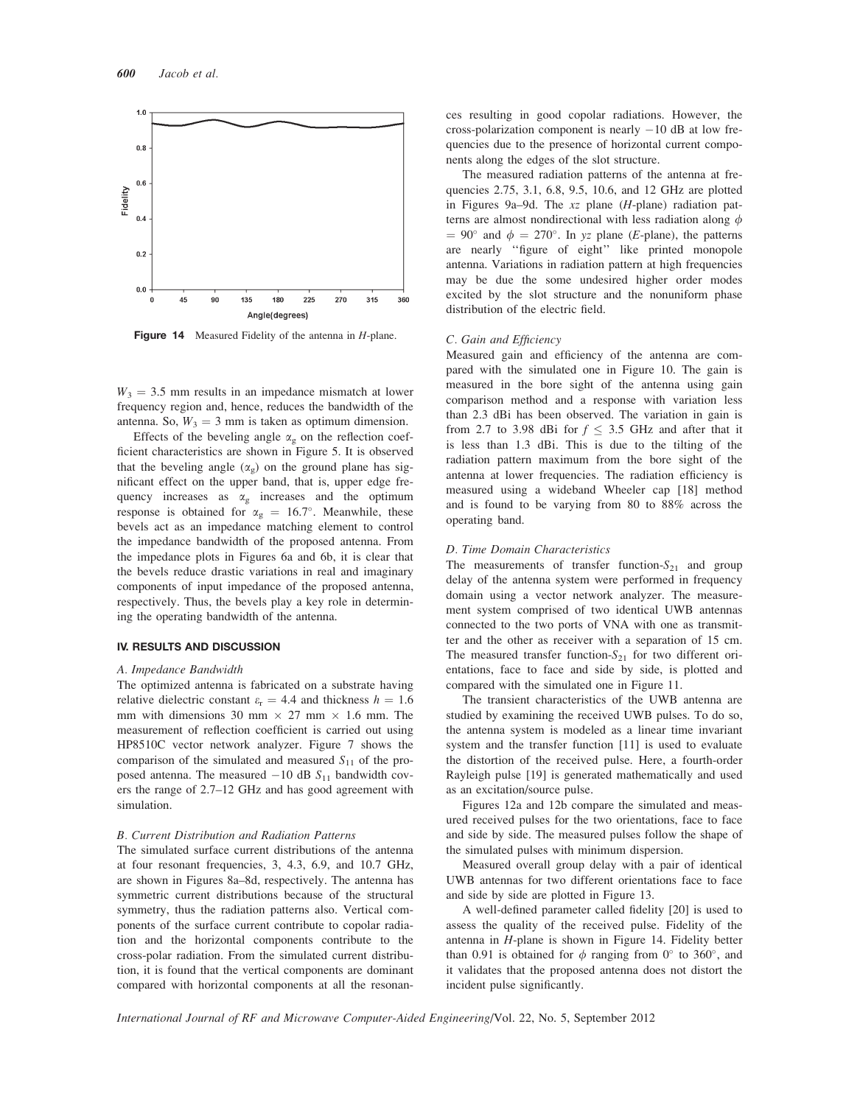

Figure  $14$  Measured Fidelity of the antenna in  $H$ -plane.

 $W_3 = 3.5$  mm results in an impedance mismatch at lower frequency region and, hence, reduces the bandwidth of the antenna. So,  $W_3 = 3$  mm is taken as optimum dimension.

Effects of the beveling angle  $\alpha_{\rm g}$  on the reflection coefficient characteristics are shown in Figure 5. It is observed that the beveling angle  $(\alpha_g)$  on the ground plane has significant effect on the upper band, that is, upper edge frequency increases as  $\alpha_g$  increases and the optimum response is obtained for  $\alpha_{\rm g} = 16.7^{\circ}$ . Meanwhile, these bevels act as an impedance matching element to control the impedance bandwidth of the proposed antenna. From the impedance plots in Figures 6a and 6b, it is clear that the bevels reduce drastic variations in real and imaginary components of input impedance of the proposed antenna, respectively. Thus, the bevels play a key role in determining the operating bandwidth of the antenna.

# IV. RESULTS AND DISCUSSION

#### A. Impedance Bandwidth

The optimized antenna is fabricated on a substrate having relative dielectric constant  $\varepsilon_r = 4.4$  and thickness  $h = 1.6$ mm with dimensions 30 mm  $\times$  27 mm  $\times$  1.6 mm. The measurement of reflection coefficient is carried out using HP8510C vector network analyzer. Figure 7 shows the comparison of the simulated and measured  $S_{11}$  of the proposed antenna. The measured  $-10$  dB  $S_{11}$  bandwidth covers the range of 2.7–12 GHz and has good agreement with simulation.

#### B. Current Distribution and Radiation Patterns

The simulated surface current distributions of the antenna at four resonant frequencies, 3, 4.3, 6.9, and 10.7 GHz, are shown in Figures 8a–8d, respectively. The antenna has symmetric current distributions because of the structural symmetry, thus the radiation patterns also. Vertical components of the surface current contribute to copolar radiation and the horizontal components contribute to the cross-polar radiation. From the simulated current distribution, it is found that the vertical components are dominant compared with horizontal components at all the resonan-

ces resulting in good copolar radiations. However, the cross-polarization component is nearly  $-10$  dB at low frequencies due to the presence of horizontal current components along the edges of the slot structure.

The measured radiation patterns of the antenna at frequencies 2.75, 3.1, 6.8, 9.5, 10.6, and 12 GHz are plotted in Figures 9a–9d. The xz plane (H-plane) radiation patterns are almost nondirectional with less radiation along  $\phi$  $= 90^{\circ}$  and  $\phi = 270^{\circ}$ . In yz plane (*E*-plane), the patterns are nearly ''figure of eight'' like printed monopole antenna. Variations in radiation pattern at high frequencies may be due the some undesired higher order modes excited by the slot structure and the nonuniform phase distribution of the electric field.

# C. Gain and Efficiency

Measured gain and efficiency of the antenna are compared with the simulated one in Figure 10. The gain is measured in the bore sight of the antenna using gain comparison method and a response with variation less than 2.3 dBi has been observed. The variation in gain is from 2.7 to 3.98 dBi for  $f \leq 3.5$  GHz and after that it is less than 1.3 dBi. This is due to the tilting of the radiation pattern maximum from the bore sight of the antenna at lower frequencies. The radiation efficiency is measured using a wideband Wheeler cap [18] method and is found to be varying from 80 to 88% across the operating band.

#### D. Time Domain Characteristics

The measurements of transfer function- $S_{21}$  and group delay of the antenna system were performed in frequency domain using a vector network analyzer. The measurement system comprised of two identical UWB antennas connected to the two ports of VNA with one as transmitter and the other as receiver with a separation of 15 cm. The measured transfer function- $S_{21}$  for two different orientations, face to face and side by side, is plotted and compared with the simulated one in Figure 11.

The transient characteristics of the UWB antenna are studied by examining the received UWB pulses. To do so, the antenna system is modeled as a linear time invariant system and the transfer function [11] is used to evaluate the distortion of the received pulse. Here, a fourth-order Rayleigh pulse [19] is generated mathematically and used as an excitation/source pulse.

Figures 12a and 12b compare the simulated and measured received pulses for the two orientations, face to face and side by side. The measured pulses follow the shape of the simulated pulses with minimum dispersion.

Measured overall group delay with a pair of identical UWB antennas for two different orientations face to face and side by side are plotted in Figure 13.

A well-defined parameter called fidelity [20] is used to assess the quality of the received pulse. Fidelity of the antenna in H-plane is shown in Figure 14. Fidelity better than 0.91 is obtained for  $\phi$  ranging from 0° to 360°, and it validates that the proposed antenna does not distort the incident pulse significantly.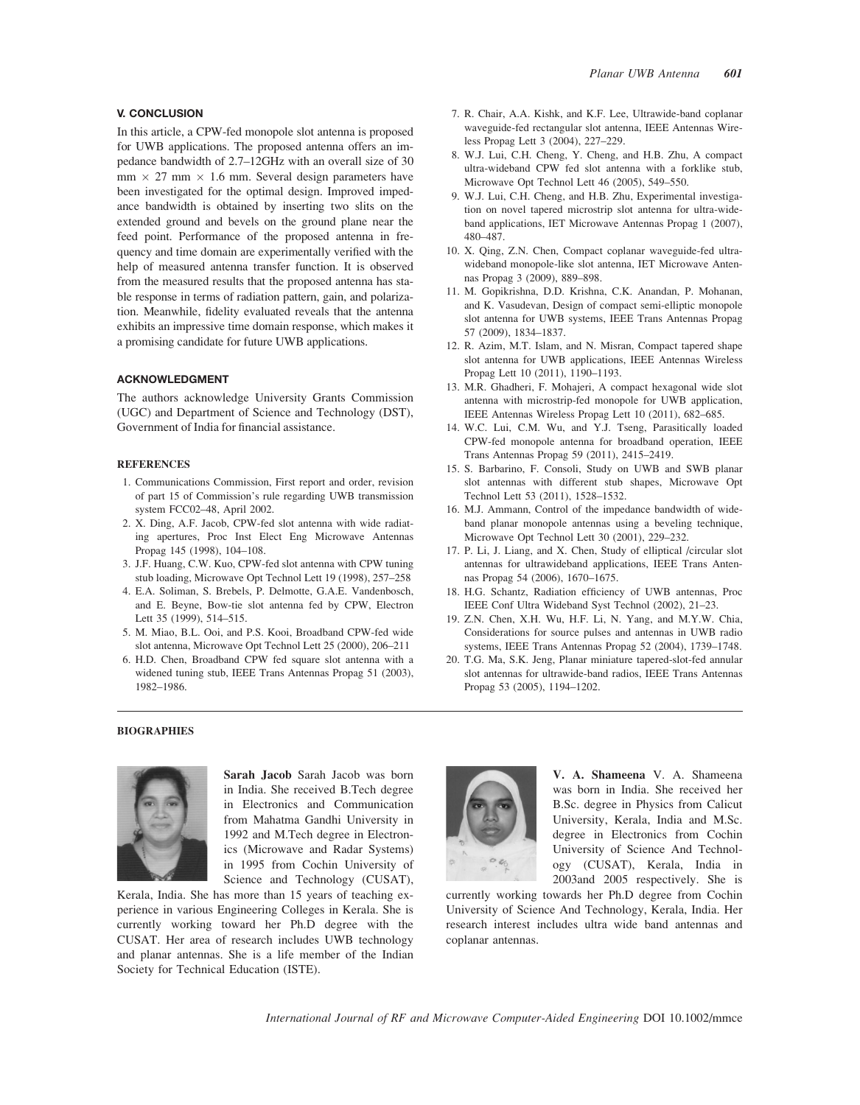### V. CONCLUSION

In this article, a CPW-fed monopole slot antenna is proposed for UWB applications. The proposed antenna offers an impedance bandwidth of 2.7–12GHz with an overall size of 30  $mm \times 27 mm \times 1.6 mm$ . Several design parameters have been investigated for the optimal design. Improved impedance bandwidth is obtained by inserting two slits on the extended ground and bevels on the ground plane near the feed point. Performance of the proposed antenna in frequency and time domain are experimentally verified with the help of measured antenna transfer function. It is observed from the measured results that the proposed antenna has stable response in terms of radiation pattern, gain, and polarization. Meanwhile, fidelity evaluated reveals that the antenna exhibits an impressive time domain response, which makes it a promising candidate for future UWB applications.

# ACKNOWLEDGMENT

The authors acknowledge University Grants Commission (UGC) and Department of Science and Technology (DST), Government of India for financial assistance.

#### **REFERENCES**

- 1. Communications Commission, First report and order, revision of part 15 of Commission's rule regarding UWB transmission system FCC02–48, April 2002.
- 2. X. Ding, A.F. Jacob, CPW-fed slot antenna with wide radiating apertures, Proc Inst Elect Eng Microwave Antennas Propag 145 (1998), 104–108.
- 3. J.F. Huang, C.W. Kuo, CPW-fed slot antenna with CPW tuning stub loading, Microwave Opt Technol Lett 19 (1998), 257–258
- 4. E.A. Soliman, S. Brebels, P. Delmotte, G.A.E. Vandenbosch, and E. Beyne, Bow-tie slot antenna fed by CPW, Electron Lett 35 (1999), 514–515.
- 5. M. Miao, B.L. Ooi, and P.S. Kooi, Broadband CPW-fed wide slot antenna, Microwave Opt Technol Lett 25 (2000), 206–211
- 6. H.D. Chen, Broadband CPW fed square slot antenna with a widened tuning stub, IEEE Trans Antennas Propag 51 (2003), 1982–1986.
- 7. R. Chair, A.A. Kishk, and K.F. Lee, Ultrawide-band coplanar waveguide-fed rectangular slot antenna, IEEE Antennas Wireless Propag Lett 3 (2004), 227–229.
- 8. W.J. Lui, C.H. Cheng, Y. Cheng, and H.B. Zhu, A compact ultra-wideband CPW fed slot antenna with a forklike stub, Microwave Opt Technol Lett 46 (2005), 549–550.
- 9. W.J. Lui, C.H. Cheng, and H.B. Zhu, Experimental investigation on novel tapered microstrip slot antenna for ultra-wideband applications, IET Microwave Antennas Propag 1 (2007), 480–487.
- 10. X. Qing, Z.N. Chen, Compact coplanar waveguide-fed ultrawideband monopole-like slot antenna, IET Microwave Antennas Propag 3 (2009), 889–898.
- 11. M. Gopikrishna, D.D. Krishna, C.K. Anandan, P. Mohanan, and K. Vasudevan, Design of compact semi-elliptic monopole slot antenna for UWB systems, IEEE Trans Antennas Propag 57 (2009), 1834–1837.
- 12. R. Azim, M.T. Islam, and N. Misran, Compact tapered shape slot antenna for UWB applications, IEEE Antennas Wireless Propag Lett 10 (2011), 1190–1193.
- 13. M.R. Ghadheri, F. Mohajeri, A compact hexagonal wide slot antenna with microstrip-fed monopole for UWB application, IEEE Antennas Wireless Propag Lett 10 (2011), 682–685.
- 14. W.C. Lui, C.M. Wu, and Y.J. Tseng, Parasitically loaded CPW-fed monopole antenna for broadband operation, IEEE Trans Antennas Propag 59 (2011), 2415–2419.
- 15. S. Barbarino, F. Consoli, Study on UWB and SWB planar slot antennas with different stub shapes, Microwave Opt Technol Lett 53 (2011), 1528–1532.
- 16. M.J. Ammann, Control of the impedance bandwidth of wideband planar monopole antennas using a beveling technique, Microwave Opt Technol Lett 30 (2001), 229–232.
- 17. P. Li, J. Liang, and X. Chen, Study of elliptical /circular slot antennas for ultrawideband applications, IEEE Trans Antennas Propag 54 (2006), 1670–1675.
- 18. H.G. Schantz, Radiation efficiency of UWB antennas, Proc IEEE Conf Ultra Wideband Syst Technol (2002), 21–23.
- 19. Z.N. Chen, X.H. Wu, H.F. Li, N. Yang, and M.Y.W. Chia, Considerations for source pulses and antennas in UWB radio systems, IEEE Trans Antennas Propag 52 (2004), 1739–1748.
- 20. T.G. Ma, S.K. Jeng, Planar miniature tapered-slot-fed annular slot antennas for ultrawide-band radios, IEEE Trans Antennas Propag 53 (2005), 1194–1202.

#### **BIOGRAPHIES**



Sarah Jacob Sarah Jacob was born in India. She received B.Tech degree in Electronics and Communication from Mahatma Gandhi University in 1992 and M.Tech degree in Electronics (Microwave and Radar Systems) in 1995 from Cochin University of Science and Technology (CUSAT),

Kerala, India. She has more than 15 years of teaching experience in various Engineering Colleges in Kerala. She is currently working toward her Ph.D degree with the CUSAT. Her area of research includes UWB technology and planar antennas. She is a life member of the Indian Society for Technical Education (ISTE).



V. A. Shameena V. A. Shameena was born in India. She received her B.Sc. degree in Physics from Calicut University, Kerala, India and M.Sc. degree in Electronics from Cochin University of Science And Technology (CUSAT), Kerala, India in 2003and 2005 respectively. She is

currently working towards her Ph.D degree from Cochin University of Science And Technology, Kerala, India. Her research interest includes ultra wide band antennas and coplanar antennas.